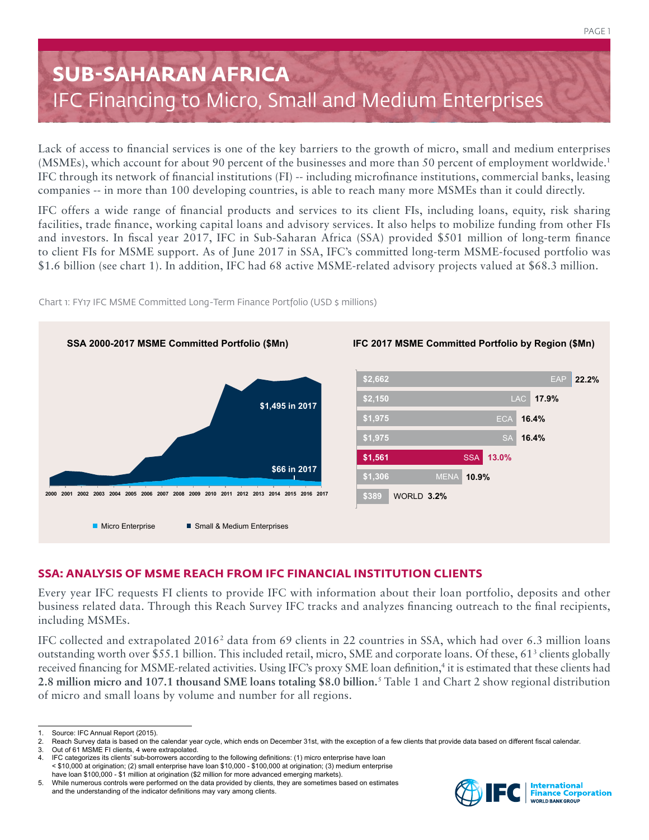# **SUB-SAHARAN AFRICA** IFC Financing to Micro, Small and Medium Enterprises

Lack of access to financial services is one of the key barriers to the growth of micro, small and medium enterprises (MSMEs), which account for about 90 percent of the businesses and more than 50 percent of employment worldwide.1 IFC through its network of financial institutions (FI) -- including microfinance institutions, commercial banks, leasing companies -- in more than 100 developing countries, is able to reach many more MSMEs than it could directly.

IFC offers a wide range of financial products and services to its client FIs, including loans, equity, risk sharing facilities, trade finance, working capital loans and advisory services. It also helps to mobilize funding from other FIs and investors. In fiscal year 2017, IFC in Sub-Saharan Africa (SSA) provided \$501 million of long-term finance to client FIs for MSME support. As of June 2017 in SSA, IFC's committed long-term MSME-focused portfolio was \$1.6 billion (see chart 1). In addition, IFC had 68 active MSME-related advisory projects valued at \$68.3 million.



Chart 1: FY17 IFC MSME Committed Long-Term Finance Portfolio (USD \$ millions)

## **SSA: ANALYSIS OF MSME REACH FROM IFC FINANCIAL INSTITUTION CLIENTS**

Every year IFC requests FI clients to provide IFC with information about their loan portfolio, deposits and other business related data. Through this Reach Survey IFC tracks and analyzes financing outreach to the final recipients, including MSMEs.

IFC collected and extrapolated 2016<sup>2</sup> data from 69 clients in 22 countries in SSA, which had over 6.3 million loans outstanding worth over \$55.1 billion. This included retail, micro, SME and corporate loans. Of these, 61<sup>3</sup> clients globally received financing for MSME-related activities. Using IFC's proxy SME loan definition,<sup>4</sup> it is estimated that these clients had **2.8 million micro and 107.1 thousand SME loans totaling \$8.0 billion.**<sup>5</sup> Table 1 and Chart 2 show regional distribution of micro and small loans by volume and number for all regions.



Source: IFC Annual Report (2015).

<sup>2.</sup> Reach Survey data is based on the calendar year cycle, which ends on December 31st, with the exception of a few clients that provide data based on different fiscal calendar.<br>3. Out of 61 MSME FI clients, 4 were extrapol

Out of 61 MSME FI clients, 4 were extrapolated.

IFC categorizes its clients' sub-borrowers according to the following definitions: (1) micro enterprise have loan < \$10,000 at origination; (2) small enterprise have loan \$10,000 - \$100,000 at origination; (3) medium enterprise have loan \$100,000 - \$1 million at origination (\$2 million for more advanced emerging markets).

<sup>5.</sup> While numerous controls were performed on the data provided by clients, they are sometimes based on estimates and the understanding of the indicator definitions may vary among clients.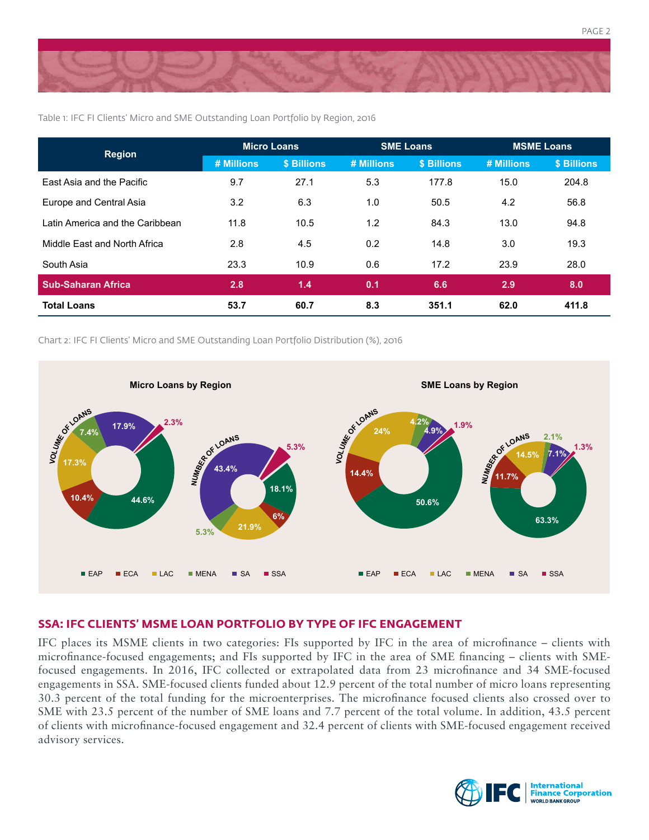

Table 1: IFC FI Clients' Micro and SME Outstanding Loan Portfolio by Region, 2016

| <b>Region</b>                   | <b>Micro Loans</b> |             | <b>SME Loans</b> |                    | <b>MSME Loans</b> |             |
|---------------------------------|--------------------|-------------|------------------|--------------------|-------------------|-------------|
|                                 | # Millions         | \$ Billions | # Millions       | <b>\$ Billions</b> | # Millions        | \$ Billions |
| East Asia and the Pacific       | 9.7                | 27.1        | 5.3              | 177.8              | 15.0              | 204.8       |
| Europe and Central Asia         | 3.2                | 6.3         | 1.0              | 50.5               | 4.2               | 56.8        |
| Latin America and the Caribbean | 11.8               | 10.5        | 1.2              | 84.3               | 13.0              | 94.8        |
| Middle East and North Africa    | 2.8                | 4.5         | 0.2              | 14.8               | 3.0               | 19.3        |
| South Asia                      | 23.3               | 10.9        | 0.6              | 17.2               | 23.9              | 28.0        |
| <b>Sub-Saharan Africa</b>       | 2.8                | 1.4         | 0.1              | 6.6                | 2.9               | 8.0         |
| <b>Total Loans</b>              | 53.7               | 60.7        | 8.3              | 351.1              | 62.0              | 411.8       |

Chart 2: IFC FI Clients' Micro and SME Outstanding Loan Portfolio Distribution (%), 2016



### **SSA: IFC CLIENTS' MSME LOAN PORTFOLIO BY TYPE OF IFC ENGAGEMENT**

IFC places its MSME clients in two categories: FIs supported by IFC in the area of microfinance – clients with microfinance-focused engagements; and FIs supported by IFC in the area of SME financing – clients with SMEfocused engagements. In 2016, IFC collected or extrapolated data from 23 microfinance and 34 SME-focused engagements in SSA. SME-focused clients funded about 12.9 percent of the total number of micro loans representing 30.3 percent of the total funding for the microenterprises. The microfinance focused clients also crossed over to SME with 23.5 percent of the number of SME loans and 7.7 percent of the total volume. In addition, 43.5 percent of clients with microfinance-focused engagement and 32.4 percent of clients with SME-focused engagement received advisory services.



PAGE 2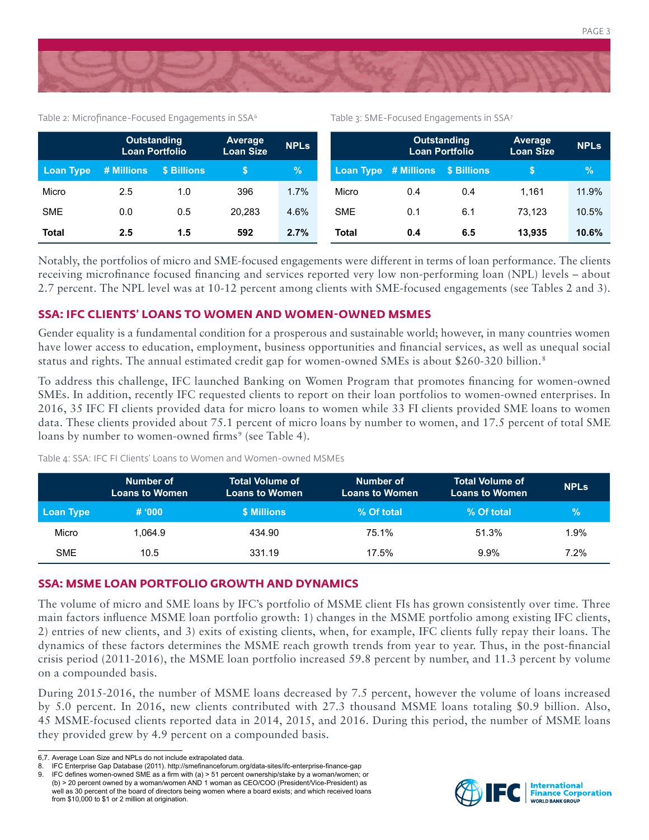

Table 2: Microfinance-Focused Engagements in SSA<sup>6</sup>

Table 3: SME-Focused Engagements in SSA7

PAGE 3

|                  | <b>Outstanding</b><br><b>Loan Portfolio</b> |             | Average<br><b>Loan Size</b> | <b>NPLS</b> |            | <b>Outstanding</b><br><b>Loan Portfolio</b> |     | Average<br><b>Loan Size</b> | <b>NPLS</b> |
|------------------|---------------------------------------------|-------------|-----------------------------|-------------|------------|---------------------------------------------|-----|-----------------------------|-------------|
| <b>Loan Type</b> | # Millions                                  | \$ Billions |                             | %           |            | Loan Type # Millions \$ Billions            |     |                             | '%'         |
| Micro            | 2.5                                         | 1.0         | 396                         | 1.7%        | Micro      | 0.4                                         | 0.4 | 1.161                       | 11.9%       |
| <b>SME</b>       | 0.0                                         | 0.5         | 20.283                      | 4.6%        | <b>SME</b> | 0.1                                         | 6.1 | 73.123                      | 10.5%       |
| <b>Total</b>     | 2.5                                         | 1.5         | 592                         | 2.7%        | Total      | 0.4                                         | 6.5 | 13.935                      | 10.6%       |

Notably, the portfolios of micro and SME-focused engagements were different in terms of loan performance. The clients receiving microfinance focused financing and services reported very low non-performing loan (NPL) levels – about 2.7 percent. The NPL level was at 10-12 percent among clients with SME-focused engagements (see Tables 2 and 3).

### **SSA: IFC CLIENTS' LOANS TO WOMEN AND WOMEN-OWNED MSMES**

Gender equality is a fundamental condition for a prosperous and sustainable world; however, in many countries women have lower access to education, employment, business opportunities and financial services, as well as unequal social status and rights. The annual estimated credit gap for women-owned SMEs is about \$260-320 billion.<sup>8</sup>

To address this challenge, IFC launched Banking on Women Program that promotes financing for women-owned SMEs. In addition, recently IFC requested clients to report on their loan portfolios to women-owned enterprises. In 2016, 35 IFC FI clients provided data for micro loans to women while 33 FI clients provided SME loans to women data. These clients provided about 75.1 percent of micro loans by number to women, and 17.5 percent of total SME loans by number to women-owned firms<sup>9</sup> (see Table 4).

Table 4: SSA: IFC FI Clients' Loans to Women and Women-owned MSMEs

|            | Number of<br><b>Loans to Women</b> | <b>Total Volume of</b><br><b>Loans to Women</b> | Number of<br><b>Loans to Women</b> | <b>Total Volume of</b><br><b>Loans to Women</b> | <b>NPLS</b>   |
|------------|------------------------------------|-------------------------------------------------|------------------------------------|-------------------------------------------------|---------------|
| Loan Type  | # 000                              | \$ Millions                                     | % Of total                         | % Of total                                      | $\mathcal{C}$ |
| Micro      | 1.064.9                            | 434.90                                          | 75.1%                              | 51.3%                                           | 1.9%          |
| <b>SME</b> | 10.5                               | 331.19                                          | 17.5%                              | $9.9\%$                                         | 7.2%          |

### **SSA: MSME LOAN PORTFOLIO GROWTH AND DYNAMICS**

The volume of micro and SME loans by IFC's portfolio of MSME client FIs has grown consistently over time. Three main factors influence MSME loan portfolio growth: 1) changes in the MSME portfolio among existing IFC clients, 2) entries of new clients, and 3) exits of existing clients, when, for example, IFC clients fully repay their loans. The dynamics of these factors determines the MSME reach growth trends from year to year. Thus, in the post-financial crisis period (2011-2016), the MSME loan portfolio increased 59.8 percent by number, and 11.3 percent by volume on a compounded basis.

During 2015-2016, the number of MSME loans decreased by 7.5 percent, however the volume of loans increased by 5.0 percent. In 2016, new clients contributed with 27.3 thousand MSME loans totaling \$0.9 billion. Also, 45 MSME-focused clients reported data in 2014, 2015, and 2016. During this period, the number of MSME loans they provided grew by 4.9 percent on a compounded basis.



<sup>6,7.</sup> Average Loan Size and NPLs do not include extrapolated data.<br>8. IEC Enterprise Gan Database (2011) http://smefinanceforum.org

IFC Enterprise Gap Database (2011). http://smefinanceforum.org/data-sites/ifc-enterprise-finance-gap

<sup>9.</sup> IFC defines women-owned SME as a firm with (a) > 51 percent ownership/stake by a woman/women; or (b) > 20 percent owned by a woman/women AND 1 woman as CEO/COO (President/Vice-President) as well as 30 percent of the board of directors being women where a board exists; and which received loans from \$10,000 to \$1 or 2 million at origination.